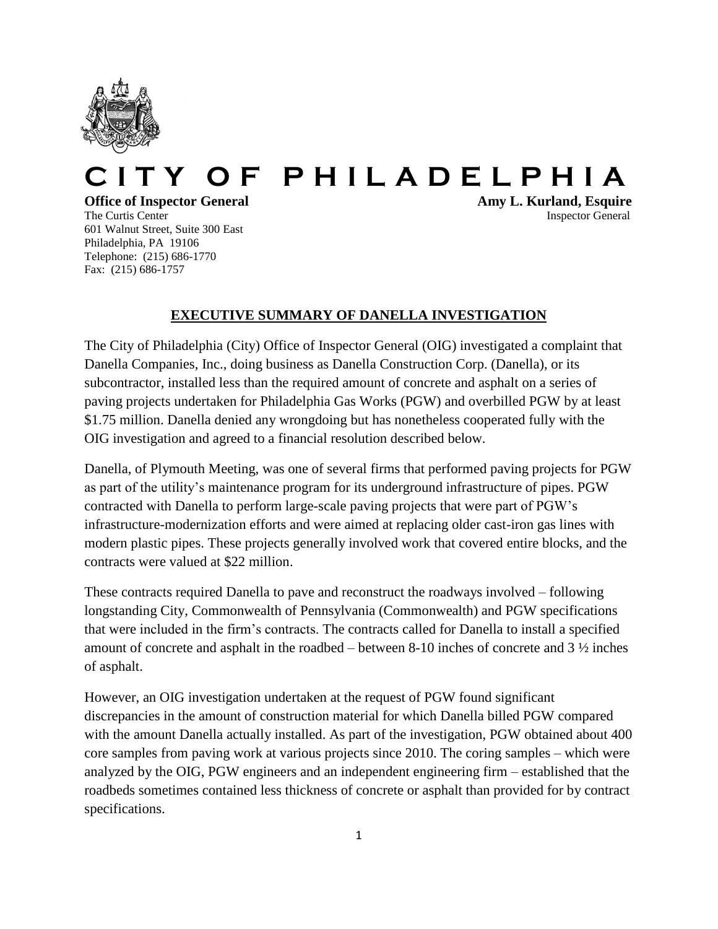

## Y OF PHILADELPHIA

601 Walnut Street, Suite 300 East Philadelphia, PA 19106 Telephone: (215) 686-1770 Fax: (215) 686-1757

**Office of Inspector General Amy L. Kurland, Esquire** The Curtis Center Inspector General According to the United States of the United States of General Inspector General Inspector General According to the United States of the United States of General According to the United

## **EXECUTIVE SUMMARY OF DANELLA INVESTIGATION**

The City of Philadelphia (City) Office of Inspector General (OIG) investigated a complaint that Danella Companies, Inc., doing business as Danella Construction Corp. (Danella), or its subcontractor, installed less than the required amount of concrete and asphalt on a series of paving projects undertaken for Philadelphia Gas Works (PGW) and overbilled PGW by at least \$1.75 million. Danella denied any wrongdoing but has nonetheless cooperated fully with the OIG investigation and agreed to a financial resolution described below.

Danella, of Plymouth Meeting, was one of several firms that performed paving projects for PGW as part of the utility's maintenance program for its underground infrastructure of pipes. PGW contracted with Danella to perform large-scale paving projects that were part of PGW's infrastructure-modernization efforts and were aimed at replacing older cast-iron gas lines with modern plastic pipes. These projects generally involved work that covered entire blocks, and the contracts were valued at \$22 million.

These contracts required Danella to pave and reconstruct the roadways involved – following longstanding City, Commonwealth of Pennsylvania (Commonwealth) and PGW specifications that were included in the firm's contracts. The contracts called for Danella to install a specified amount of concrete and asphalt in the roadbed – between 8-10 inches of concrete and 3 ½ inches of asphalt.

However, an OIG investigation undertaken at the request of PGW found significant discrepancies in the amount of construction material for which Danella billed PGW compared with the amount Danella actually installed. As part of the investigation, PGW obtained about 400 core samples from paving work at various projects since 2010. The coring samples – which were analyzed by the OIG, PGW engineers and an independent engineering firm – established that the roadbeds sometimes contained less thickness of concrete or asphalt than provided for by contract specifications.